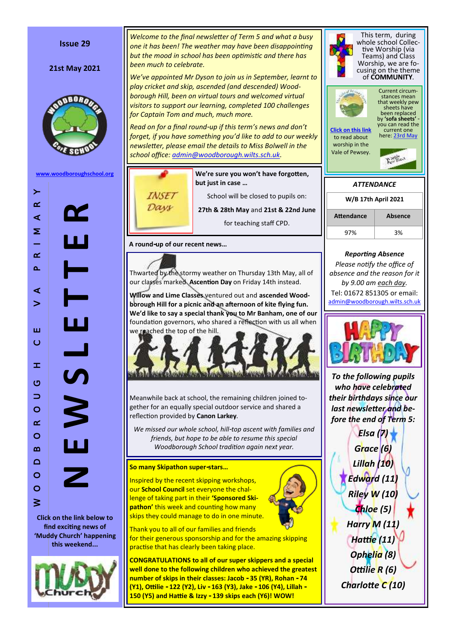### **Issue 29**

#### **21st May 2021**



**[www.woodboroughschool.org](https://woodboroughschool.org/)**



W O O D B O R O U G H C E V A P R I M A R Y

 $\pm$ 

 $\circ$  $\Rightarrow$  $\circ$  $\alpha$  $\circ$  $\Omega$  $\Box$  $\circ$  $\circ$  $\geq$ 

Ш  $\circ$ 

 $\left. \right.$ 

 $\alpha$ 

 $\prec$  $\geq$ 

 $\alpha$  $\Delta$ 

 $\prec$  $\geq$ 

> **Click on the link below to find exciting news of 'Muddy Church' happening this weekend...**



*Welcome to the final newsletter of Term 5 and what a busy one it has been! The weather may have been disappointing but the mood in school has been optimistic and there has been much to celebrate.*

*We 've appointed Mr Dyson to join us in September, learnt to play cricket and skip, ascended (and descended) Woodborough Hill, been on virtual tours and welcomed virtual visitors to support our learning, completed 100 challenges for Captain Tom and much, much more.* 

Read on for a final round-up if this term's news and don't *forget, if you have something you 'd like to add to our weekly newsletter, please email the details to Miss Bolwell in the school office: [admin@woodborough.wilts.sch.uk.](mailto:admin@woodborough.wilts.sch.uk)* 

**INSET** Days

**We 're sure you won 't have forgotten, but just in case …** School will be closed to pupils on:

**27th & 28th May** and **21st & 22nd June** for teaching staff CPD.

**A round -up of our recent news …**

Thwarted by the stormy weather on Thursday 13th May, all of our classes marked **Ascention Day** on Friday 14th instead.

**Willow and Lime Classes** ventured out and **ascended Woodborough Hill for a picnic and an afternoon of kite flying fun. We 'd like to say a special thank you to Mr Banham, one of our**  foundation governors, who shared a reflection with us all when we reached the top of the hill.



Meanwhile back at school, the remaining children joined together for an equally special outdoor service and shared a reflection provided by **Canon Larkey** .

We missed our whole school, hill-top ascent with families and *friends, but hope to be able to resume this special Woodborough School tradition again next year.*

### **So many Skipathon super -stars …**

Inspired by the recent skipping workshops, our **School Council** set everyone the challenge of taking part in their **'Sponsored Skipathon'** this week and counting how many skips they could manage to do in one minute.



Thank you to all of our families and friends for their generous sponsorship and for the amazing skipping

practise that has clearly been taking place.

**CONGRATULATIONS to all of our super skippers and a special well done to the following children who achieved the greatest number of skips in their classes: Jacob - 35 (YR), Rohan - 74 (Y1), Ottilie - 122 (Y2), Liv - 163 (Y3), Jake - 106 (Y4), Lillah - 150 (Y5) and Hattie & Izzy - 139 skips each (Y6)! WOW!**



*Charlotte C (10)*